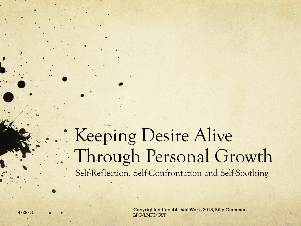### Keeping Desire Alive Through Personal Growth Self-Reflection, Self-Confrontation and Self-Soothing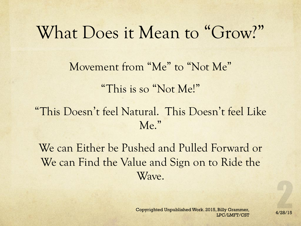### What Does it Mean to "Grow?"

Movement from "Me" to "Not Me"

"This is so "Not Me!"

"This Doesn't feel Natural. This Doesn't feel Like Me."

We can Either be Pushed and Pulled Forward or We can Find the Value and Sign on to Ride the Wave.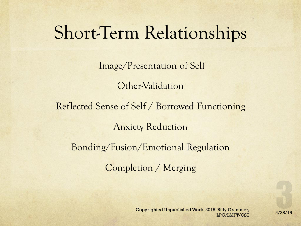# Short-Term Relationships

Image/Presentation of Self

Other-Validation

Reflected Sense of Self / Borrowed Functioning

Anxiety Reduction

Bonding/Fusion/Emotional Regulation

Completion / Merging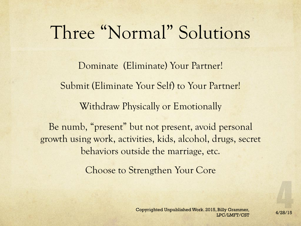# Three "Normal" Solutions

Dominate (Eliminate) Your Partner! Submit (Eliminate Your Self) to Your Partner! Withdraw Physically or Emotionally

Be numb, "present" but not present, avoid personal growth using work, activities, kids, alcohol, drugs, secret behaviors outside the marriage, etc.

Choose to Strengthen Your Core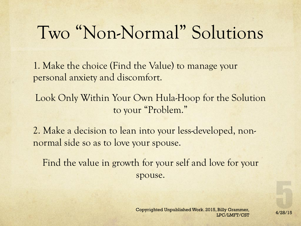# Two "Non-Normal" Solutions

1. Make the choice (Find the Value) to manage your personal anxiety and discomfort.

Look Only Within Your Own Hula-Hoop for the Solution to your "Problem."

2. Make a decision to lean into your less-developed, nonnormal side so as to love your spouse.

Find the value in growth for your self and love for your spouse.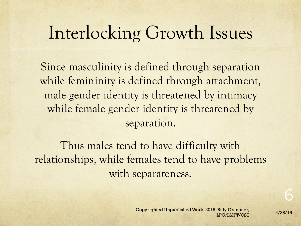# Interlocking Growth Issues

Since masculinity is defined through separation while femininity is defined through attachment, male gender identity is threatened by intimacy while female gender identity is threatened by separation.

Thus males tend to have difficulty with relationships, while females tend to have problems with separateness.

6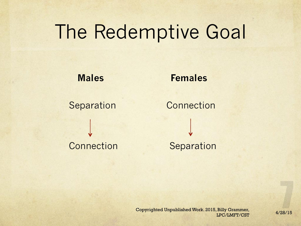# The Redemptive Goal

#### **Males Females**

Separation Connection Connection Separation

Copyrighted Unpublished Work. 2015, Billy Grammer,<br>4/28/15 LPC/LMFT/CST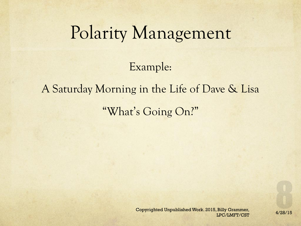### Polarity Management

Example:

#### A Saturday Morning in the Life of Dave & Lisa

"What's Going On?"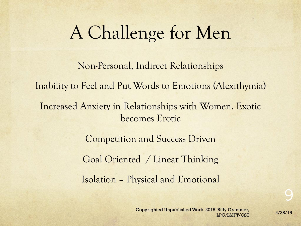# A Challenge for Men

Non-Personal, Indirect Relationships Inability to Feel and Put Words to Emotions (Alexithymia) Increased Anxiety in Relationships with Women. Exotic becomes Erotic Competition and Success Driven Goal Oriented / Linear Thinking Isolation – Physical and Emotional

9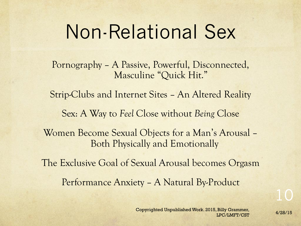# Non-Relational Sex

Pornography – A Passive, Powerful, Disconnected, Masculine "Quick Hit."

Strip-Clubs and Internet Sites – An Altered Reality

Sex: A Way to *Feel* Close without *Being* Close

Women Become Sexual Objects for a Man's Arousal – Both Physically and Emotionally

The Exclusive Goal of Sexual Arousal becomes Orgasm

Performance Anxiety – A Natural By-Product

Copyrighted Unpublished Work. 2015, Billy Grammer,<br>4/28/15 LPC/LMFT/CST

10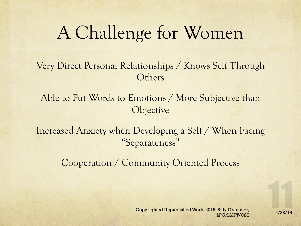# A Challenge for Women

#### Very Direct Personal Relationships / Knows Self Through **Others**

Able to Put Words to Emotions / More Subjective than **Objective** 

Increased Anxiety when Developing a Self / When Facing "Separateness"

Cooperation / Community Oriented Process

Copyrighted Unpublished Work. 2015, Billy Grammer,<br>4/28/15 LPC/LMFT/CST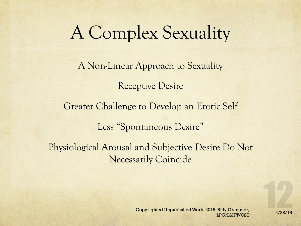# A Complex Sexuality

A Non-Linear Approach to Sexuality Receptive Desire Greater Challenge to Develop an Erotic Self Less "Spontaneous Desire" Physiological Arousal and Subjective Desire Do Not Necessarily Coincide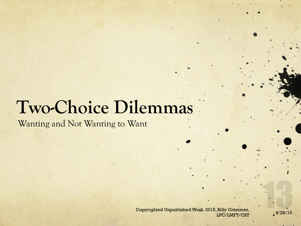Wanting and Not Wanting to Want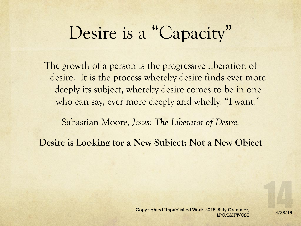# Desire is a "Capacity"

The growth of a person is the progressive liberation of desire. It is the process whereby desire finds ever more deeply its subject, whereby desire comes to be in one who can say, ever more deeply and wholly, "I want."

Sabastian Moore*, Jesus: The Liberator of Desire.* 

**Desire is Looking for a New Subject; Not a New Object**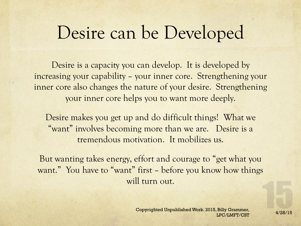# Desire can be Developed

Desire is a capacity you can develop. It is developed by increasing your capability – your inner core. Strengthening your inner core also changes the nature of your desire. Strengthening your inner core helps you to want more deeply.

Desire makes you get up and do difficult things! What we "want" involves becoming more than we are. Desire is a tremendous motivation. It mobilizes us.

But wanting takes energy, effort and courage to "get what you want." You have to "want" first – before you know how things will turn out.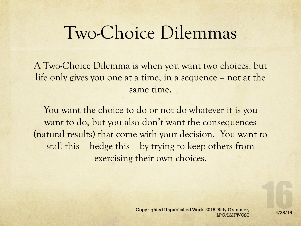A Two-Choice Dilemma is when you want two choices, but life only gives you one at a time, in a sequence – not at the same time.

You want the choice to do or not do whatever it is you want to do, but you also don't want the consequences (natural results) that come with your decision. You want to stall this – hedge this – by trying to keep others from exercising their own choices.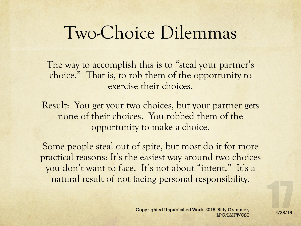The way to accomplish this is to "steal your partner's choice." That is, to rob them of the opportunity to exercise their choices.

Result: You get your two choices, but your partner gets none of their choices. You robbed them of the opportunity to make a choice.

Some people steal out of spite, but most do it for more practical reasons: It's the easiest way around two choices you don't want to face. It's not about "intent." It's a natural result of not facing personal responsibility.